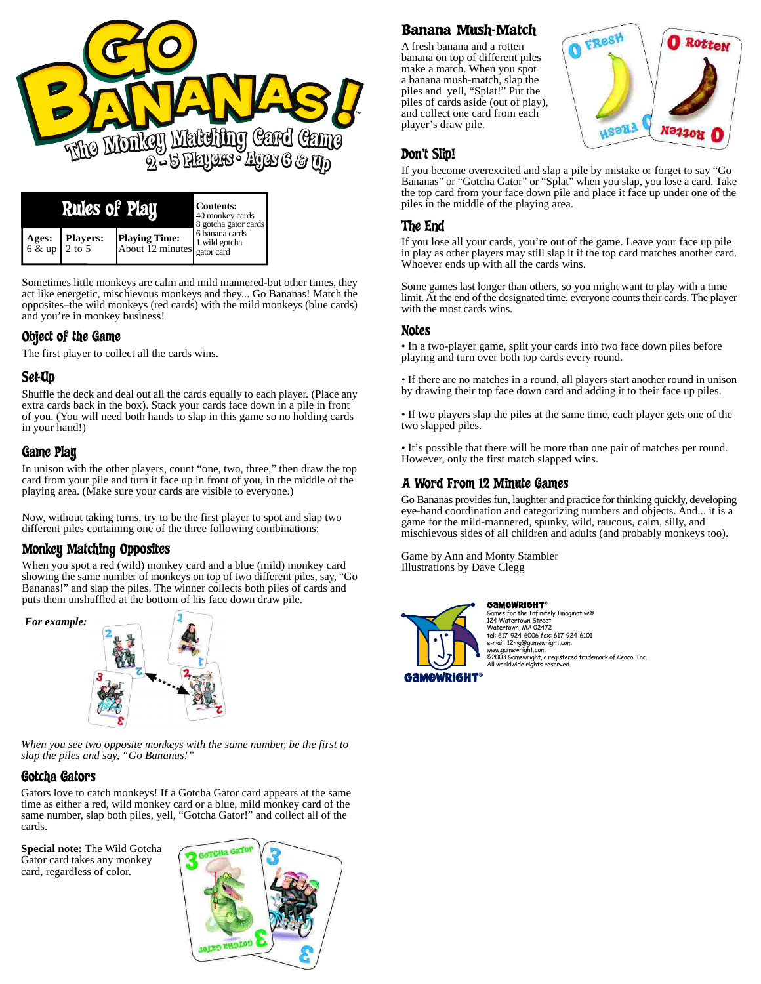

|                                | <b>Rules of Play</b> | <b>Contents:</b><br>40 monkey cards<br>8 gotcha gator cards |                                                 |
|--------------------------------|----------------------|-------------------------------------------------------------|-------------------------------------------------|
| Ages:<br>6 & up $\vert$ 2 to 5 | <b>Players:</b>      | <b>Playing Time:</b><br>About 12 minutes.                   | . 6 banana cards<br>1 wild gotcha<br>gator card |

Sometimes little monkeys are calm and mild mannered-but other times, they act like energetic, mischievous monkeys and they... Go Bananas! Match the opposites–the wild monkeys (red cards) with the mild monkeys (blue cards) and you're in monkey business!

## Object of the Game

The first player to collect all the cards wins.

# Set-Up

Shuffle the deck and deal out all the cards equally to each player. (Place any extra cards back in the box). Stack your cards face down in a pile in front of you. (You will need both hands to slap in this game so no holding cards in your hand!)

## Game Play

In unison with the other players, count "one, two, three," then draw the top card from your pile and turn it face up in front of you, in the middle of the playing area. (Make sure your cards are visible to everyone.)

Now, without taking turns, try to be the first player to spot and slap two different piles containing one of the three following combinations:

## Monkey Matching Opposites

When you spot a red (wild) monkey card and a blue (mild) monkey card showing the same number of monkeys on top of two different piles, say, "Go Bananas!" and slap the piles. The winner collects both piles of cards and puts them unshuffled at the bottom of his face down draw pile.



*When you see two opposite monkeys with the same number, be the first to slap the piles and say, "Go Bananas!"*

### Gotcha Gators

Gators love to catch monkeys! If a Gotcha Gator card appears at the same time as either a red, wild monkey card or a blue, mild monkey card of the same number, slap both piles, yell, "Gotcha Gator!" and collect all of the cards.

**Special note:** The Wild Gotcha Gator card takes any monkey card, regardless of color.



# Banana Mush-Match

A fresh banana and a rotten banana on top of different piles make a match. When you spot a banana mush-match, slap the piles and yell, "Splat!" Put the piles of cards aside (out of play), and collect one card from each player's draw pile.



### Don't Slip!

If you become overexcited and slap a pile by mistake or forget to say "Go Bananas" or "Gotcha Gator" or "Splat" when you slap, you lose a card. Take the top card from your face down pile and place it face up under one of the piles in the middle of the playing area.

# The End

If you lose all your cards, you're out of the game. Leave your face up pile in play as other players may still slap it if the top card matches another card. Whoever ends up with all the cards wins.

Some games last longer than others, so you might want to play with a time limit. At the end of the designated time, everyone counts their cards. The player with the most cards wins.

### Notes

• In a two-player game, split your cards into two face down piles before playing and turn over both top cards every round.

• If there are no matches in a round, all players start another round in unison by drawing their top face down card and adding it to their face up piles.

• If two players slap the piles at the same time, each player gets one of the two slapped piles.

• It's possible that there will be more than one pair of matches per round. However, only the first match slapped wins.

## A Word From 12 Minute Games

Go Bananas provides fun, laughter and practice for thinking quickly, developing eye-hand coordination and categorizing numbers and objects. And... it is a game for the mild-mannered, spunky, wild, raucous, calm, silly, and mischievous sides of all children and adults (and probably monkeys too).

Game by Ann and Monty Stambler Illustrations by Dave Clegg



**GAMEWRIGHT®** nes for the Infinitely Imaginative® 124 Watertown Street Watertown, MA 02472 tel: 617-924-6006 fax: 617-924-6101 e-mail: 12mg@gamewright.com www.gamewright.com ©2003 Gamewright, a registered trademark of Ceaco, Inc. All worldwide rights reserved.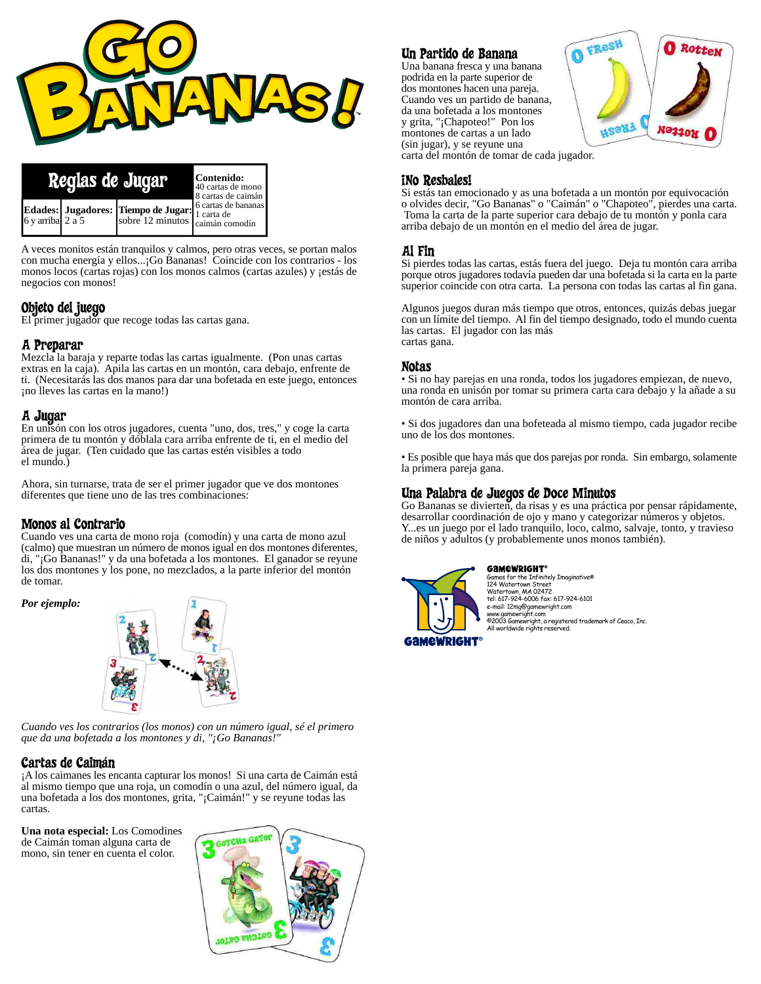

| Reglas de Jugar   | Contenido:<br>40 cartas de mono<br>8 cartas de caimán |                                                                                                                   |                                     |
|-------------------|-------------------------------------------------------|-------------------------------------------------------------------------------------------------------------------|-------------------------------------|
| 6 v arribal 2 a 5 |                                                       | Edades:   Jugadores:   Tiempo de Jugar:  <br>$\int$ sobre 12 minutos $\int_{\text{caimán comodín}}^{\text{caim}}$ | 6 cartas de bananas<br>l 1 carta de |

A veces monitos están tranquilos y calmos, pero otras veces, se portan malos con mucha energía y ellos...¡Go Bananas! Coincide con los contrarios - los monos locos (cartas rojas) con los monos calmos (cartas azules) y ¡estás de negocios con monos!

#### Objeto del juego

El primer jugador que recoge todas las cartas gana.

### A Preparar

Mezcla la baraja y reparte todas las cartas igualmente. (Pon unas cartas extras en la caja). Apila las cartas en un montón, cara debajo, enfrente de ti. (Necesitarás las dos manos para dar una bofetada en este juego, entonces ¡no lleves las cartas en la mano!)

#### A Jugar

En unisón con los otros jugadores, cuenta "uno, dos, tres," y coge la carta primera de tu montón y dóblala cara arriba enfrente de ti, en el medio del área de jugar. (Ten cuidado que las cartas estén visibles a todo el mundo.)

Ahora, sin turnarse, trata de ser el primer jugador que ve dos montones diferentes que tiene uno de las tres combinaciones:

### Monos al Contrario

Cuando ves una carta de mono roja (comodín) y una carta de mono azul (calmo) que muestran un número de monos igual en dos montones diferentes, di, "¡Go Bananas!" y da una bofetada a los montones. El ganador se reyune los dos montones y los pone, no mezclados, a la parte inferior del montón de tomar.

*Por ejemplo:*



*Cuando ves los contrarios (los monos) con un número igual, sé el primero que da una bofetada a los montones y di, "¡Go Bananas!"*

### Cartas de Caimán

¡A los caimanes les encanta capturar los monos! Si una carta de Caimán está al mismo tiempo que una roja, un comodín o una azul, del número igual, da una bofetada a los dos montones, grita, "¡Caimán!" y se reyune todas las cartas.

**Una nota especial:** Los Comodines de Caimán toman alguna carta de mono, sin tener en cuenta el color.



# Un Partido de Banana

Una banana fresca y una banana podrida en la parte superior de dos montones hacen una pareja. Cuando ves un partido de banana, da una bofetada a los montones y grita, "¡Chapoteo!" Pon los montones de cartas a un lado (sin jugar), y se reyune una



carta del montón de tomar de cada jugador.

#### ¡No Resbales!

Si estás tan emocionado y as una bofetada a un montón por equivocación o olvides decir, "Go Bananas" o "Caimán" o "Chapoteo", pierdes una carta. Toma la carta de la parte superior cara debajo de tu montón y ponla cara arriba debajo de un montón en el medio del área de jugar.

### Al Fin

Si pierdes todas las cartas, estás fuera del juego. Deja tu montón cara arriba porque otros jugadores todavía pueden dar una bofetada si la carta en la parte superior coincide con otra carta. La persona con todas las cartas al fin gana.

Algunos juegos duran más tiempo que otros, entonces, quizás debas juegar con un límite del tiempo. Al fin del tiempo designado, todo el mundo cuenta las cartas. El jugador con las más cartas gana.

#### Notas

• Si no hay parejas en una ronda, todos los jugadores empiezan, de nuevo, una ronda en unisón por tomar su primera carta cara debajo y la añade a su montón de cara arriba.

• Si dos jugadores dan una bofeteada al mismo tiempo, cada jugador recibe uno de los dos montones.

• Es posible que haya más que dos parejas por ronda. Sin embargo, solamente la primera pareja gana.

#### Una Palabra de Juegos de Doce Minutos

Go Bananas se divierten, da risas y es una práctica por pensar rápidamente, desarrollar coordinación de ojo y mano y categorizar números y objetos. Y...es un juego por el lado tranquilo, loco, calmo, salvaje, tonto, y travieso de niños y adultos (y probablemente unos monos también).



**GAMEWRIGHT®** ..............<br>nes for the Infinitely Imaginative® 124 Watertown Street Watertown, MA 02472 tel: 617-924-6006 fax: 617-924-6101 e-mail: 12mg@gamewright.com www.gamewright.com ©2003 Gamewright, a registered trademark of Ceaco, Inc. All worldwide rights reserved.